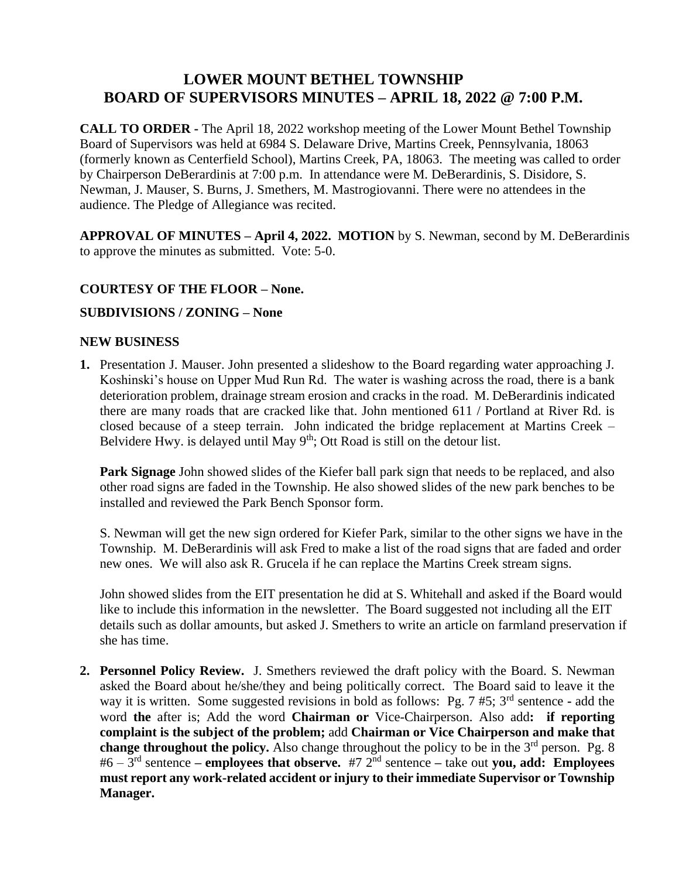# **LOWER MOUNT BETHEL TOWNSHIP BOARD OF SUPERVISORS MINUTES – APRIL 18, 2022 @ 7:00 P.M.**

**CALL TO ORDER -** The April 18, 2022 workshop meeting of the Lower Mount Bethel Township Board of Supervisors was held at 6984 S. Delaware Drive, Martins Creek, Pennsylvania, 18063 (formerly known as Centerfield School), Martins Creek, PA, 18063. The meeting was called to order by Chairperson DeBerardinis at 7:00 p.m. In attendance were M. DeBerardinis, S. Disidore, S. Newman, J. Mauser, S. Burns, J. Smethers, M. Mastrogiovanni. There were no attendees in the audience. The Pledge of Allegiance was recited.

**APPROVAL OF MINUTES – April 4, 2022. MOTION** by S. Newman, second by M. DeBerardinis to approve the minutes as submitted. Vote: 5-0.

## **COURTESY OF THE FLOOR – None.**

### **SUBDIVISIONS / ZONING – None**

#### **NEW BUSINESS**

**1.** Presentation J. Mauser. John presented a slideshow to the Board regarding water approaching J. Koshinski's house on Upper Mud Run Rd. The water is washing across the road, there is a bank deterioration problem, drainage stream erosion and cracks in the road. M. DeBerardinis indicated there are many roads that are cracked like that. John mentioned 611 / Portland at River Rd. is closed because of a steep terrain. John indicated the bridge replacement at Martins Creek – Belvidere Hwy. is delayed until May  $9<sup>th</sup>$ ; Ott Road is still on the detour list.

**Park Signage** John showed slides of the Kiefer ball park sign that needs to be replaced, and also other road signs are faded in the Township. He also showed slides of the new park benches to be installed and reviewed the Park Bench Sponsor form.

S. Newman will get the new sign ordered for Kiefer Park, similar to the other signs we have in the Township. M. DeBerardinis will ask Fred to make a list of the road signs that are faded and order new ones. We will also ask R. Grucela if he can replace the Martins Creek stream signs.

John showed slides from the EIT presentation he did at S. Whitehall and asked if the Board would like to include this information in the newsletter. The Board suggested not including all the EIT details such as dollar amounts, but asked J. Smethers to write an article on farmland preservation if she has time.

**2. Personnel Policy Review.** J. Smethers reviewed the draft policy with the Board. S. Newman asked the Board about he/she/they and being politically correct. The Board said to leave it the way it is written. Some suggested revisions in bold as follows: Pg. 7 #5; 3rd sentence **-** add the word **the** after is; Add the word **Chairman or** Vice-Chairperson. Also add**: if reporting complaint is the subject of the problem;** add **Chairman or Vice Chairperson and make that change throughout the policy.** Also change throughout the policy to be in the  $3<sup>rd</sup>$  person. Pg. 8 #6 – 3 rd sentence **– employees that observe.** #7 2nd sentence **–** take out **you, add: Employees must report any work-related accident or injury to their immediate Supervisor or Township Manager.**